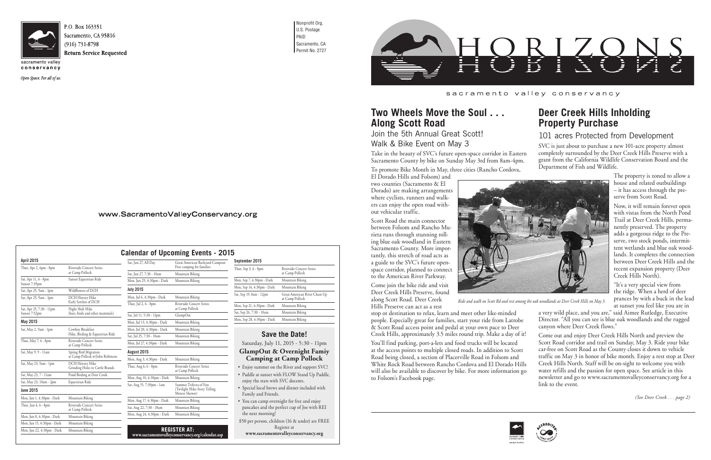

conservancy

Open Space. For all of us.

Nonprofit Org. U.S. Postage PAID

Sacramento, CA Permit No. 2727



sacramento valley conservancy

| Sat, Jun 27, All Day       | Great American Backyard Campout<br>Free camping for families             |  |  |
|----------------------------|--------------------------------------------------------------------------|--|--|
| Sat, Jun 27, 7:30 - 10am   | Mountain Biking                                                          |  |  |
| Mon, Jun 29, 4:30pm - Dark | Mountain Biking                                                          |  |  |
| <b>July 2015</b>           |                                                                          |  |  |
| Mon, Jul 6, 4:30pm - Dark  | Mountain Biking                                                          |  |  |
| Thur, Jul 2, 6 - 8pm       | Riverside Concert Series<br>at Camp Pollock                              |  |  |
| Sat, Jul 11, 5:30 - 11pm   | GlampOut                                                                 |  |  |
| Mon, Jul 13, 4:30pm - Dark | Mountain Biking                                                          |  |  |
| Mon, Jul 20, 4:30pm - Dark | Mountain Biking                                                          |  |  |
| Sat, Jul 25, 7:30 - 10am   | Mountain Biking                                                          |  |  |
| Mon, Jul 27, 4:30pm - Dark | Mountain Biking                                                          |  |  |
| August 2015                |                                                                          |  |  |
| Mon, Aug 3, 4:30pm - Dark  | Mountain Biking                                                          |  |  |
| Thur, Aug 6, 6 - 8pm       | Riverside Concert Series<br>at Camp Pollock                              |  |  |
| Mon, Aug 10, 4:30pm - Dark | Mountain Biking                                                          |  |  |
| Sat, Aug 15, 7:30pm - 1am  | Summer Trifecta of Fun<br>(Twilight Hike-Story Telling<br>Meteor Shower) |  |  |
| Mon, Aug 17, 4:30pm - Dark | Mountain Biking                                                          |  |  |
| Sat, Aug 22, 7:30 - 10am   | Mountain Biking                                                          |  |  |
| Mon, Aug 24, 4:30pm - Dark | Mountain Biking                                                          |  |  |

| <b>Calendar of Upcoming Events - 2015</b> |  |  |  |  |
|-------------------------------------------|--|--|--|--|
|-------------------------------------------|--|--|--|--|

| September 2015             |                                                  |  |  |
|----------------------------|--------------------------------------------------|--|--|
| Thur, Sep 3, 6 - 8pm       | Riverside Concert Series<br>at Camp Pollock      |  |  |
| Mon, Sep 7, 4:30pm - Dark  | Mountain Biking                                  |  |  |
| Mon, Sep 14, 4:30pm - Dark | Mountain Biking                                  |  |  |
| Sat, Sep 19, 8am - 12pm    | Great American River Clean-Up<br>at Camp Pollock |  |  |
| Mon, Sep 21, 4:30pm - Dark | Mountain Biking                                  |  |  |
| Sat, Sep 26, 7:30 - 10am   | Mountain Biking                                  |  |  |
| Mon, Sep 28, 4:30pm - Dark | Mountain Biking                                  |  |  |

**April 2015**

| ADIII ZUIJ                                |                                                          |  |  |
|-------------------------------------------|----------------------------------------------------------|--|--|
| Thur, Apr 2, 6pm - 8pm                    | Riverside Concert Series<br>at Camp Pollock              |  |  |
| Sat, Apr 11, 4 - 8pm<br>Sunset 7:39pm     | Sunset Equestrian Ride                                   |  |  |
| Sat, Apr 25, 9am - 1pm                    | Wildflowers of DCH                                       |  |  |
| Sat, Apr 25, 9am - 1pm                    | DCH History Hike<br>Early Settlers of DCH                |  |  |
| Sat, Apr 25, 7:30 - 11pm<br>Sunset 7:52pm | Night Shift Hike<br>(bats, birds and other mammals)      |  |  |
| May 2015                                  |                                                          |  |  |
| Sat, May 2, 9am - 1pm                     | Cowboy Breakfast<br>Hike, Birding & Equestrian Ride      |  |  |
| Thur, May 7, 6 - 8pm                      | <b>Riverside Concert Series</b><br>at Camp Pollock       |  |  |
| Sat, May 9, 9 - 11am                      | Spring Bird Migration<br>at Camp Pollock w/John Robinson |  |  |
| Sat, May 23, 9am - 1pm                    | DCH History Hike<br>Grinding Holes to Cattle Brands      |  |  |
| Sat, May 23, 7 - 11am                     | Pond Birding at Deer Creek                               |  |  |
| Sat, May 23, 10am - 2pm                   | Equestrian Ride                                          |  |  |
| <b>June 2015</b>                          |                                                          |  |  |
| Mon, Jun 1, 4:30pm - Dark                 | Mountain Biking                                          |  |  |
| Thur, Jun 4, 6 - 8pm                      | Riverside Concert Series<br>at Camp Pollock              |  |  |
| Mon, Jun 8, 4:30pm - Dark                 | Mountain Biking                                          |  |  |
| Mon, Jun 15, 4:30pm - Dark                | Mountain Biking                                          |  |  |

Mon, Jun 22, 4:30pm - Dark Mountain Biking

### **save the Date!**

Saturday, July 11, 2015 - 5:30 - 11pm **GlampOut & Overnight Famiy Camping at Camp Pollock**

- Enjoy summer on the River and support SVC! • Paddle at sunset with FLOW Stand Up Paddle,
- enjoy the stars with SVC docents.
- Special local brews and dinner included with Family and Friends.

• You can camp overnight for free and enjoy pancakes and the perfect cup of Joe with REI the next morning!

\$50 per person, children (16 & under) are FREE Register at

**www.sacramentovalleyconservancy.org**



*(See Deer Creek . . . page 2)*





# **Deer Creek Hills Inholding Property Purchase**

### 101 acres Protected from Development

The property is zoned to allow a house and related outbuildings – it has access through the preserve from Scott Road.

Now, it will remain forever open with vistas from the North Pond Trail at Deer Creek Hills, permanently preserved. The property adds a gorgeous ridge to the Preserve, two stock ponds, intermittent wetlands and blue oak woodlands. It completes the connection between Deer Creek Hills and the recent expansion property (Deer Creek Hills North).

"It's a very special view from the ridge. When a herd of deer prances by with a buck in the lead at sunset you feel like you are in

SVC is just about to purchase a new 101-acre property almost completely surrounded by the Deer Creek Hills Preserve with a grant from the California Wildlife Conservation Board and the Department of Fish and Wildlife. Take in the beauty of SVC's future open-space corridor in Eastern Sacramento County by bike on Sunday May 3rd from 8am-4pm.

## **Two Wheels Move the Soul . . . Along Scott Road**

Join the 5th Annual Great Scott! Walk & Bike Event on May 3

To promote Bike Month in May, three cities (Rancho Cordova,

a very wild place, and you are," said Aimee Rutledge, Executive Director. "All you can see is blue oak woodlands and the rugged canyon where Deer Creek flows." stop or destination to relax, learn and meet other like-minded people. Especially great for families, start your ride from Latrobe & Scott Road access point and pedal at your own pace to Deer Creek Hills, approximately 3.5 miles round trip. Make a day of it!

El Dorado Hills and Folsom) and two counties (Sacramento & El Dorado) are making arrangements where cyclists, runners and walkers can enjoy the open road without vehicular traffic.

Come out and enjoy Deer Creek Hills North and preview the Scott Road corridor and trail on Sunday, May 3. Ride your bike car-free on Scott Road as the County closes it down to vehicle traffic on May 3 in honor of bike month. Enjoy a rest stop at Deer Creek Hills North. Staff will be on-sight to welcome you with water refills and the passion for open space. See article in this newsletter and go to www.sacramentovalleyconservancy.org for a link to the event. You'll find parking, port-a-lets and food trucks will be located at the access points to multiple closed roads. In addition to Scott Road being closed, a section of Placerville Road in Folsom and White Rock Road between Rancho Cordova and El Dorado Hills will also be available to discover by bike. For more information go to Folsom's Facebook page.

www.SacramentoValleyConservancy.org

Scott Road the main connector between Folsom and Rancho Murieta runs through stunning rolling blue oak woodland in Eastern Sacramento County. More importantly, this stretch of road acts as a guide to the SVC's future openspace corridor, planned to connect to the American River Parkway.

Come join the bike ride and visit Deer Creek Hills Preserve, found along Scott Road. Deer Creek Hills Preserve can act as a rest



*Ride and walk on Scott Rd and rest among the oak woodlands at Deer Creek Hills on May 3.*